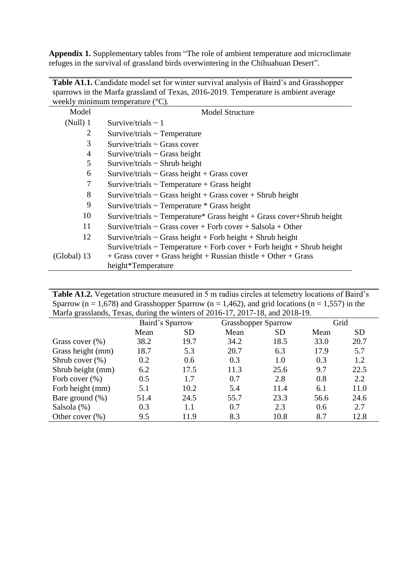**Appendix 1.** Supplementary tables from "The role of ambient temperature and microclimate refuges in the survival of grassland birds overwintering in the Chihuahuan Desert".

**Table A1.1.** Candidate model set for winter survival analysis of Baird's and Grasshopper

| sparrows in the Marfa grassland of Texas, 2016-2019. Temperature is ambient average |                                                                             |  |  |  |  |  |  |
|-------------------------------------------------------------------------------------|-----------------------------------------------------------------------------|--|--|--|--|--|--|
| weekly minimum temperature $({}^{\circ}C)$ .                                        |                                                                             |  |  |  |  |  |  |
| Model                                                                               | <b>Model Structure</b>                                                      |  |  |  |  |  |  |
| (Null) 1                                                                            | Survive/trials $\sim$ 1                                                     |  |  |  |  |  |  |
| 2                                                                                   | $Survive/trials \sim Temperature$                                           |  |  |  |  |  |  |
| 3                                                                                   | $Survive/trials \sim Grass cover$                                           |  |  |  |  |  |  |
| 4                                                                                   | Survive/trials $\sim$ Grass height                                          |  |  |  |  |  |  |
| 5                                                                                   | Survive/trials $\sim$ Shrub height                                          |  |  |  |  |  |  |
| 6                                                                                   | Survive/trials $\sim$ Grass height + Grass cover                            |  |  |  |  |  |  |
| 7                                                                                   | Survive/trials $\sim$ Temperature + Grass height                            |  |  |  |  |  |  |
| 8                                                                                   | Survive/trials $\sim$ Grass height + Grass cover + Shrub height             |  |  |  |  |  |  |
| 9                                                                                   | Survive/trials $\sim$ Temperature $*$ Grass height                          |  |  |  |  |  |  |
| 10                                                                                  | Survive/trials $\sim$ Temperature* Grass height + Grass cover+Shrub height  |  |  |  |  |  |  |
| 11                                                                                  | Survive/trials $\sim$ Grass cover + Forb cover + Salsola + Other            |  |  |  |  |  |  |
| 12                                                                                  | Survive/trials $\sim$ Grass height + Forb height + Shrub height             |  |  |  |  |  |  |
|                                                                                     | Survive/trials $\sim$ Temperature + Forb cover + Forb height + Shrub height |  |  |  |  |  |  |
| $(Global)$ 13                                                                       | $+$ Grass cover $+$ Grass height $+$ Russian thistle $+$ Other $+$ Grass    |  |  |  |  |  |  |
|                                                                                     | height*Temperature                                                          |  |  |  |  |  |  |

**Table A1.2.** Vegetation structure measured in 5 m radius circles at telemetry locations of Baird's Sparrow  $(n = 1,678)$  and Grasshopper Sparrow  $(n = 1,462)$ , and grid locations  $(n = 1,557)$  in the Marfa grasslands, Texas, during the winters of 2016-17, 2017-18, and 2018-19.

| $\frac{1}{2}$ $\frac{1}{2}$ $\frac{1}{2}$ $\frac{1}{2}$ $\frac{1}{2}$ $\frac{1}{2}$ $\frac{1}{2}$ $\frac{1}{2}$ $\frac{1}{2}$ $\frac{1}{2}$ $\frac{1}{2}$ $\frac{1}{2}$ $\frac{1}{2}$ $\frac{1}{2}$ $\frac{1}{2}$ $\frac{1}{2}$ $\frac{1}{2}$ $\frac{1}{2}$ $\frac{1}{2}$ $\frac{1}{2}$ $\frac{1}{2}$ $\frac{1}{2}$ |                 |           |                            |           |      |           |  |  |
|---------------------------------------------------------------------------------------------------------------------------------------------------------------------------------------------------------------------------------------------------------------------------------------------------------------------|-----------------|-----------|----------------------------|-----------|------|-----------|--|--|
|                                                                                                                                                                                                                                                                                                                     | Baird's Sparrow |           | <b>Grasshopper Sparrow</b> |           | Grid |           |  |  |
|                                                                                                                                                                                                                                                                                                                     | Mean            | <b>SD</b> | Mean                       | <b>SD</b> | Mean | <b>SD</b> |  |  |
| Grass cover $(\%)$                                                                                                                                                                                                                                                                                                  | 38.2            | 19.7      | 34.2                       | 18.5      | 33.0 | 20.7      |  |  |
| Grass height (mm)                                                                                                                                                                                                                                                                                                   | 18.7            | 5.3       | 20.7                       | 6.3       | 17.9 | 5.7       |  |  |
| Shrub cover $(\%)$                                                                                                                                                                                                                                                                                                  | 0.2             | 0.6       | 0.3                        | 1.0       | 0.3  | 1.2       |  |  |
| Shrub height (mm)                                                                                                                                                                                                                                                                                                   | 6.2             | 17.5      | 11.3                       | 25.6      | 9.7  | 22.5      |  |  |
| Forb cover $(\% )$                                                                                                                                                                                                                                                                                                  | 0.5             | 1.7       | 0.7                        | 2.8       | 0.8  | 2.2       |  |  |
| Forb height (mm)                                                                                                                                                                                                                                                                                                    | 5.1             | 10.2      | 5.4                        | 11.4      | 6.1  | 11.0      |  |  |
| Bare ground $(\%)$                                                                                                                                                                                                                                                                                                  | 51.4            | 24.5      | 55.7                       | 23.3      | 56.6 | 24.6      |  |  |
| Salsola (%)                                                                                                                                                                                                                                                                                                         | 0.3             | 1.1       | 0.7                        | 2.3       | 0.6  | 2.7       |  |  |
| Other cover $(\% )$                                                                                                                                                                                                                                                                                                 | 9.5             | 11.9      | 8.3                        | 10.8      | 8.7  | 12.8      |  |  |